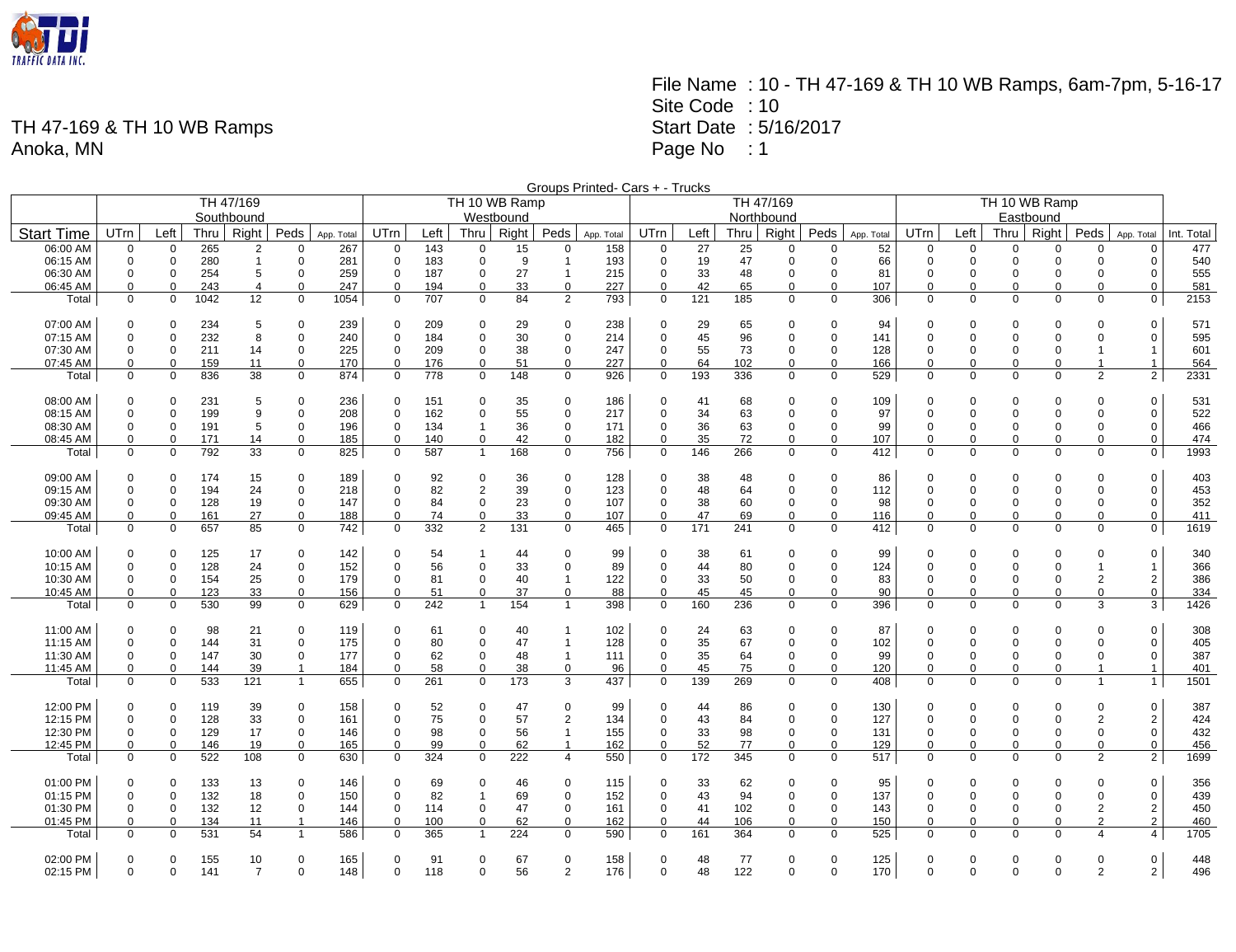

File Name : 10 - TH 47-169 & TH 10 WB Ramps, 6am-7pm, 5-16-17 Site Code : 10 Start Date : 5/16/2017 Page No : 1

|                      |                         |                            |            |                |                            |            |                            |            |                      |               |                         | Groups Printed- Cars + - Trucks |                            |          |           |                            |                      |            |                      |                      |                         |                      |                         |                               |             |
|----------------------|-------------------------|----------------------------|------------|----------------|----------------------------|------------|----------------------------|------------|----------------------|---------------|-------------------------|---------------------------------|----------------------------|----------|-----------|----------------------------|----------------------|------------|----------------------|----------------------|-------------------------|----------------------|-------------------------|-------------------------------|-------------|
|                      |                         |                            |            | TH 47/169      |                            |            |                            |            |                      | TH 10 WB Ramp |                         |                                 |                            |          |           | TH 47/169                  |                      |            | TH 10 WB Ramp        |                      |                         |                      |                         |                               |             |
|                      |                         |                            | Westbound  |                |                            |            |                            |            |                      | Northbound    |                         |                                 |                            |          |           |                            | Eastbound            |            |                      |                      |                         |                      |                         |                               |             |
| <b>Start Time</b>    | UTrn                    | Left                       | Thru       | Right          | Peds $ $                   | App. Total | UTrn                       | Left       | Thru                 | Right         | Peds                    | App. Total                      | UTrn                       | Left     | Thru      | Right                      | Peds                 | App. Total | UTrn                 | Left                 | Thru                    | Right                | Peds                    | App. Total                    | Int. Total  |
| 06:00 AM             | 0                       | $\Omega$                   | 265        | $\overline{2}$ | $\Omega$                   | 267        | $\Omega$                   | 143        | $\Omega$             | 15            | $\Omega$                | 158                             | $\Omega$                   | 27       | 25        | $\Omega$                   | $\Omega$             | 52         | $\Omega$             | $\Omega$             | $\Omega$                | <sup>0</sup>         |                         | $\Omega$                      | 477         |
| 06:15 AM             | $\mathbf 0$             | $\mathbf 0$                | 280        | $\mathbf{1}$   | $\mathbf 0$                | 281        | $\mathbf 0$                | 183        | 0                    | 9             | $\overline{\mathbf{1}}$ | 193                             | $\mathbf 0$                | 19       | 47        | $\mathbf 0$                | 0                    | 66         | $\mathbf 0$          | $\mathbf 0$          | $\mathbf 0$             | $\mathbf 0$          | 0                       | $\mathbf 0$                   | 540         |
| 06:30 AM             | $\mathbf 0$             | $\mathbf 0$                | 254        | 5              | $\mathbf 0$                | 259        | $\mathbf 0$                | 187        | 0                    | 27            | $\overline{1}$          | 215                             | $\mathbf 0$                | 33       | 48        | $\mathbf 0$                | $\Omega$             | 81         | $\mathbf 0$          | $\mathbf 0$          | 0                       | $\Omega$             | $\Omega$                | $\mathbf 0$                   | 555         |
| 06:45 AM             | $\mathbf 0$             | $\mathbf 0$                | 243        | $\overline{4}$ | $\mathbf 0$                | 247        | $\mathbf 0$                | 194        | 0                    | 33            | $\mathbf 0$             | 227                             | $\mathbf 0$                | 42       | 65        | $\mathbf 0$                | $\mathbf 0$          | 107        | $\Omega$             | $\Omega$             | $\Omega$                | $\Omega$             | $\Omega$                | $\mathbf 0$                   | 581         |
| Total                | $\mathbf 0$             | $\mathbf 0$                | 1042       | 12             | $\mathbf 0$                | 1054       | $\overline{0}$             | 707        | 0                    | 84            | 2                       | 793                             | $\mathbf 0$                | 121      | 185       | $\mathbf 0$                | $\mathbf 0$          | 306        | $\Omega$             | 0                    | $\Omega$                | 0                    | $\mathbf 0$             | $\overline{0}$                | 2153        |
| 07:00 AM             | $\mathbf 0$             | 0                          | 234        | 5              | 0                          | 239        | 0                          | 209        | $\Omega$             | 29            | 0                       | 238                             | $\Omega$                   | 29       | 65        | $\mathbf 0$                | $\Omega$             | 94         | $\Omega$             | 0                    | $\mathbf 0$             | $\Omega$             | $\Omega$                | $\Omega$                      | 571         |
| 07:15 AM             | $\mathbf 0$             | $\mathbf 0$                | 232        | 8              | $\mathbf 0$                | 240        | $\mathbf 0$                | 184        | 0                    | 30            | $\mathbf 0$             | 214                             | $\Omega$                   | 45       | 96        | $\mathbf 0$                | $\Omega$             | 141        | $\Omega$             | $\Omega$             | $\Omega$                | $\Omega$             | $\Omega$                | $\mathbf 0$                   | 595         |
| 07:30 AM             | $\mathbf 0$             | $\mathbf 0$                | 211        | 14             | $\mathbf 0$                | 225        | $\mathbf 0$                | 209        | 0                    | 38            | $\mathbf 0$             | 247                             | $\mathbf 0$                | 55       | 73        | $\mathbf 0$                | $\mathbf 0$          | 128        | $\Omega$             | $\Omega$             | $\Omega$                | $\Omega$             | $\mathbf{1}$            | $\mathbf{1}$                  | 601         |
| 07:45 AM             | $\mathbf 0$             | $\mathbf 0$                | 159        | 11             | $\mathbf 0$                | 170        | $\mathbf 0$                | 176        | 0                    | 51            | $\mathbf 0$             | 227                             | $\mathbf 0$                | 64       | 102       | $\mathbf 0$                | $\mathbf 0$          | 166        | $\mathbf 0$          | $\Omega$             | $\mathbf 0$             | $\mathbf 0$          | $\mathbf{1}$            | $\mathbf{1}$                  | 564         |
| Total                | $\mathbf 0$             | $\mathbf 0$                | 836        | 38             | $\mathbf 0$                | 874        | $\mathbf 0$                | 778        | $\mathbf 0$          | 148           | $\mathbf 0$             | 926                             | $\mathbf 0$                | 193      | 336       | $\mathbf 0$                | $\mathbf 0$          | 529        | $\mathbf 0$          | $\mathbf 0$          | $\mathbf 0$             | $\mathbf 0$          | $\overline{2}$          | 2 <sup>1</sup>                | 2331        |
|                      |                         |                            |            |                |                            |            |                            |            |                      |               |                         |                                 |                            |          |           |                            |                      |            |                      |                      |                         |                      |                         |                               |             |
| 08:00 AM<br>08:15 AM | $\Omega$<br>$\mathbf 0$ | 0<br>$\mathbf 0$           | 231<br>199 | 5<br>9         | 0<br>$\mathbf 0$           | 236<br>208 | $\mathbf 0$<br>$\mathbf 0$ | 151<br>162 | $\Omega$<br>$\Omega$ | 35<br>55      | $\Omega$<br>$\Omega$    | 186<br>217                      | $\Omega$<br>$\mathbf 0$    | 41<br>34 | 68<br>63  | $\mathbf 0$<br>$\mathbf 0$ | $\Omega$<br>$\Omega$ | 109        | $\Omega$<br>$\Omega$ | $\Omega$<br>$\Omega$ | $\mathbf 0$<br>$\Omega$ | $\Omega$<br>$\Omega$ | $\Omega$<br>$\Omega$    | $\Omega$<br>$\mathbf 0$       | 531<br>522  |
| 08:30 AM             | $\mathbf 0$             | 0                          | 191        | 5              | 0                          | 196        | $\mathbf 0$                | 134        | 1                    | 36            | $\mathbf 0$             | 171                             | 0                          | 36       | 63        | $\pmb{0}$                  | 0                    | 97<br>99   | $\mathbf 0$          | $\mathbf 0$          | $\mathbf 0$             | $\mathbf 0$          | 0                       | $\mathbf 0$                   | 466         |
| 08:45 AM             | 0                       | $\mathbf 0$                | 171        | 14             | 0                          | 185        | $\mathbf 0$                | 140        | 0                    | 42            | $\mathbf 0$             | 182                             | 0                          | 35       | 72        | $\mathbf 0$                | $\mathbf 0$          | 107        | 0                    | $\mathbf 0$          | $\mathbf 0$             | 0                    | $\mathbf 0$             | $\mathbf 0$                   | 474         |
| Total                | $\mathbf 0$             | $\mathbf 0$                | 792        | 33             | $\mathbf 0$                | 825        | $\mathbf 0$                | 587        | $\mathbf{1}$         | 168           | $\mathbf 0$             | 756                             | $\mathbf 0$                | 146      | 266       | $\mathbf 0$                | $\Omega$             | 412        | $\mathbf 0$          | 0                    | $\mathbf 0$             | $\Omega$             | $\Omega$                | $\overline{0}$                | 1993        |
|                      |                         |                            |            |                |                            |            |                            |            |                      |               |                         |                                 |                            |          |           |                            |                      |            |                      |                      |                         |                      |                         |                               |             |
| 09:00 AM             | $\mathbf 0$             | $\mathbf 0$                | 174        | 15             | 0                          | 189        | 0                          | 92         | 0                    | 36            | $\mathbf 0$             | 128                             | 0                          | 38       | 48        | $\mathbf 0$                | 0                    | 86         | $\Omega$             | 0                    | $\mathbf 0$             | 0                    | $\Omega$                | $\mathbf 0$                   | 403         |
| 09:15 AM             | $\mathbf 0$             | $\mathbf 0$                | 194        | 24             | $\mathbf 0$                | 218        | $\pmb{0}$                  | 82         | $\overline{2}$       | 39            | $\mathbf 0$             | 123                             | $\mathbf 0$                | 48       | 64        | $\mathbf 0$                | $\Omega$             | 112        | $\Omega$             | $\mathbf 0$          | $\mathbf 0$             | $\Omega$             | $\mathbf 0$             | $\mathbf 0$                   | 453         |
| 09:30 AM             | 0<br>$\Omega$           | 0                          | 128        | 19             | $\mathbf 0$                | 147        | $\mathbf 0$<br>$\mathbf 0$ | 84         | 0<br>$\Omega$        | 23            | 0                       | 107                             | $\mathbf 0$                | 38<br>47 | 60        | $\mathbf 0$                | $\Omega$             | 98         | $\Omega$             | 0<br>$\Omega$        | $\mathbf 0$             | $\Omega$             | 0<br>$\Omega$           | $\mathbf 0$                   | 352         |
| 09:45 AM<br>Total    | $\mathbf 0$             | $\mathbf 0$<br>$\mathbf 0$ | 161<br>657 | 27<br>85       | $\mathbf 0$<br>$\mathbf 0$ | 188<br>742 | $\mathbf 0$                | 74<br>332  | $\overline{2}$       | 33<br>131     | 0<br>$\mathbf 0$        | 107<br>465                      | $\mathbf 0$<br>$\mathbf 0$ | 171      | 69<br>241 | $\mathbf 0$<br>$\mathbf 0$ | 0<br>$\Omega$        | 116<br>412 | 0<br>$\Omega$        | $\Omega$             | 0<br>$\Omega$           | 0<br>$\Omega$        | $\Omega$                | $\mathbf 0$<br>0 <sup>1</sup> | 411<br>1619 |
|                      |                         |                            |            |                |                            |            |                            |            |                      |               |                         |                                 |                            |          |           |                            |                      |            |                      |                      |                         |                      |                         |                               |             |
| 10:00 AM             | $\overline{0}$          | $\mathbf 0$                | 125        | 17             | $\mathbf 0$                | 142        | $\mathbf 0$                | 54         | 1                    | 44            | $\mathbf 0$             | 99                              | 0                          | 38       | 61        | $\mathbf 0$                | $\mathbf 0$          | 99         | $\Omega$             | 0                    | $\mathbf 0$             | 0                    | 0                       | $\overline{0}$                | 340         |
| 10:15 AM             | $\mathbf 0$             | $\mathbf 0$                | 128        | 24             | $\mathbf 0$                | 152        | $\mathbf 0$                | 56         | 0                    | 33            | 0                       | 89                              | $\Omega$                   | 44       | 80        | $\mathbf 0$                | $\Omega$             | 124        | $\Omega$             | $\Omega$             | 0                       | $\Omega$             | $\mathbf{1}$            | $\overline{1}$                | 366         |
| 10:30 AM             | $\mathbf 0$             | $\mathbf 0$                | 154        | 25             | $\mathbf 0$                | 179        | $\mathbf 0$                | 81         | 0                    | 40            | $\overline{1}$          | 122                             | 0                          | 33       | 50        | $\mathbf 0$                | $\Omega$             | 83         | $\Omega$             | $\mathbf 0$          | $\mathbf 0$             | 0                    | $\overline{2}$          | $\overline{2}$                | 386         |
| 10:45 AM             | $\mathbf 0$             | $\mathbf 0$                | 123        | 33             | 0                          | 156        | $\mathbf 0$                | 51         | 0                    | 37            | $\mathbf 0$             | 88                              | 0                          | 45       | 45        | $\mathbf 0$                | $\mathbf 0$          | 90         | 0                    | $\Omega$             | $\mathbf 0$             | 0                    | $\mathbf 0$             | $\mathbf 0$                   | 334         |
| Total                | $\mathbf 0$             | $\mathbf 0$                | 530        | 99             | $\mathbf 0$                | 629        | $\mathbf 0$                | 242        | $\mathbf{1}$         | 154           | $\overline{1}$          | 398                             | $\mathbf 0$                | 160      | 236       | $\mathbf 0$                | $\mathbf 0$          | 396        | $\mathbf 0$          | 0                    | $\mathbf 0$             | $\mathbf 0$          | 3                       | 3                             | 1426        |
| 11:00 AM             | $\mathbf 0$             | $\mathbf 0$                | 98         | 21             | 0                          | 119        | $\mathbf 0$                | 61         | $\Omega$             | 40            | $\overline{\mathbf{1}}$ | 102                             | $\Omega$                   | 24       | 63        | $\mathbf 0$                | $\Omega$             | 87         | $\Omega$             | $\Omega$             | $\mathbf 0$             | $\Omega$             | $\Omega$                | $\mathbf 0$                   | 308         |
| 11:15 AM             | $\mathbf 0$             | $\mathbf 0$                | 144        | 31             | $\mathbf 0$                | 175        | $\mathbf 0$                | 80         | 0                    | 47            | $\overline{1}$          | 128                             | 0                          | 35       | 67        | $\mathbf 0$                | $\Omega$             | 102        | $\Omega$             | $\mathbf 0$          | $\mathbf 0$             | $\Omega$             | $\Omega$                | $\mathbf 0$                   | 405         |
| 11:30 AM             | $\mathbf 0$             | $\mathbf 0$                | 147        | 30             | $\mathbf 0$                | 177        | $\mathbf 0$                | 62         | 0                    | 48            | $\overline{1}$          | 111                             | 0                          | 35       | 64        | $\mathbf 0$                | 0                    | 99         | $\Omega$             | 0                    | 0                       | $\mathbf 0$          | $\mathbf 0$             | $\mathbf 0$                   | 387         |
| 11:45 AM             | $\mathbf 0$             | 0                          | 144        | 39             | $\mathbf{1}$               | 184        | $\mathbf 0$                | 58         | $\Omega$             | 38            | $\mathbf 0$             | 96                              | 0                          | 45       | 75        | $\mathbf 0$                | 0                    | 120        | 0                    | $\mathbf 0$          | $\mathbf 0$             | $\mathbf 0$          |                         | $\mathbf{1}$                  | 401         |
| Total                | $\mathbf 0$             | $\mathbf 0$                | 533        | 121            | $\mathbf{1}$               | 655        | $\mathbf 0$                | 261        | 0                    | 173           | 3                       | 437                             | $\mathbf 0$                | 139      | 269       | $\mathbf 0$                | $\Omega$             | 408        | $\Omega$             | 0                    | $\Omega$                | $\Omega$             | $\overline{1}$          | 1                             | 1501        |
| 12:00 PM             | $\Omega$                | 0                          | 119        | 39             | 0                          | 158        | 0                          | 52         | $\Omega$             | 47            | $\Omega$                | 99                              | $\Omega$                   | 44       | 86        | $\mathbf 0$                | $\mathbf 0$          | 130        | $\Omega$             | 0                    | $\mathbf 0$             | 0                    | $\Omega$                | $\mathbf 0$                   | 387         |
| 12:15 PM             | $\mathbf 0$             | $\mathbf 0$                | 128        | 33             | $\mathbf 0$                | 161        | $\mathbf 0$                | 75         | 0                    | 57            | $\overline{2}$          | 134                             | $\mathbf 0$                | 43       | 84        | $\mathbf 0$                | $\mathbf 0$          | 127        | $\Omega$             | $\mathbf 0$          | $\Omega$                | $\Omega$             | $\overline{2}$          | $\overline{2}$                | 424         |
| 12:30 PM             | 0                       | 0                          | 129        | 17             | $\mathbf 0$                | 146        | $\mathbf 0$                | 98         | 0                    | 56            | $\overline{1}$          | 155                             | 0                          | 33       | 98        | $\mathbf 0$                | $\mathbf 0$          | 131        | $\mathbf 0$          | 0                    | $\mathbf 0$             | $\mathbf 0$          | $\mathbf 0$             | $\mathbf 0$                   | 432         |
| 12:45 PM             | $\mathbf 0$             | $\mathbf 0$                | 146        | 19             | $\mathbf 0$                | 165        | $\mathbf 0$                | 99         | $\Omega$             | 62            | $\overline{1}$          | 162                             | $\mathbf 0$                | 52       | 77        | $\pmb{0}$                  | $\mathbf 0$          | 129        | $\mathbf 0$          | $\mathbf 0$          | $\mathbf 0$             | $\mathbf 0$          | $\mathbf 0$             | $\mathbf 0$                   | 456         |
| Total                | $\mathbf 0$             | $\Omega$                   | 522        | 108            | $\Omega$                   | 630        | $\mathbf 0$                | 324        | $\Omega$             | 222           | $\overline{4}$          | 550                             | $\mathbf 0$                | 172      | 345       | $\mathbf 0$                | $\Omega$             | 517        | $\Omega$             | $\Omega$             | $\Omega$                | $\Omega$             | 2                       | $\overline{2}$                | 1699        |
| 01:00 PM             | $\Omega$                | $\mathbf 0$                | 133        | 13             | $\Omega$                   | 146        | 0                          | 69         | $\Omega$             | 46            | 0                       | 115                             | $\Omega$                   | 33       | 62        | $\mathbf 0$                | $\Omega$             | 95         | $\Omega$             | 0                    | $\Omega$                | $\Omega$             | $\Omega$                | $\mathbf 0$                   | 356         |
| 01:15 PM             | $\mathbf 0$             | $\mathbf 0$                | 132        | 18             | $\mathbf 0$                | 150        | $\mathbf 0$                | 82         | 1                    | 69            | $\mathbf 0$             | 152                             | $\mathbf 0$                | 43       | 94        | $\pmb{0}$                  | $\mathbf 0$          | 137        | $\Omega$             | $\mathbf 0$          | $\mathbf 0$             | $\Omega$             | $\mathbf 0$             | $\mathbf 0$                   | 439         |
| 01:30 PM             | $\mathbf 0$             | $\mathbf 0$                | 132        | 12             | $\mathbf 0$                | 144        | $\mathbf 0$                | 114        | 0                    | 47            | $\mathbf 0$             | 161                             | $\mathbf 0$                | 41       | 102       | $\mathbf 0$                | $\mathbf 0$          | 143        | $\Omega$             | $\mathbf 0$          | 0                       | $\Omega$             | $\overline{2}$          | $\sqrt{2}$                    | 450         |
| 01:45 PM             | 0                       | $\Omega$                   | 134        | 11             | $\overline{1}$             | 146        | $\mathbf 0$                | 100        | 0                    | 62            | $\Omega$                | 162                             | $\Omega$                   | 44       | 106       | $\mathbf 0$                | $\mathbf 0$          | 150        | $\Omega$             | $\mathbf 0$          | $\mathbf 0$             | $\mathbf 0$          | $\overline{2}$          | 2                             | 460         |
| Total                | $\mathbf 0$             | $\mathbf 0$                | 531        | 54             | $\mathbf{1}$               | 586        | $\mathbf 0$                | 365        | $\mathbf{1}$         | 224           | $\Omega$                | 590                             | $\Omega$                   | 161      | 364       | $\mathbf 0$                | $\mathbf 0$          | 525        | $\mathbf 0$          | 0                    | $\Omega$                | $\Omega$             | $\overline{\mathbf{A}}$ | $\overline{4}$                | 1705        |
| 02:00 PM             | $\Omega$                | $\Omega$                   | 155        | 10             | $\Omega$                   | 165        | $\Omega$                   | 91         | $\Omega$             | 67            | $\Omega$                | 158                             | $\Omega$                   | 48       | 77        | $\Omega$                   | $\Omega$             | 125        | $\Omega$             | $\Omega$             | $\Omega$                | $\Omega$             | $\Omega$                | 0 <sup>1</sup>                | 448         |
|                      |                         |                            |            |                |                            |            |                            |            |                      |               |                         |                                 |                            |          |           |                            |                      |            |                      |                      |                         |                      |                         |                               |             |

02:15 PM 0 0 141 7 0 148 0 118 0 56 2 176 0 48 122 0 0 170 0 0 0 0 2 2 496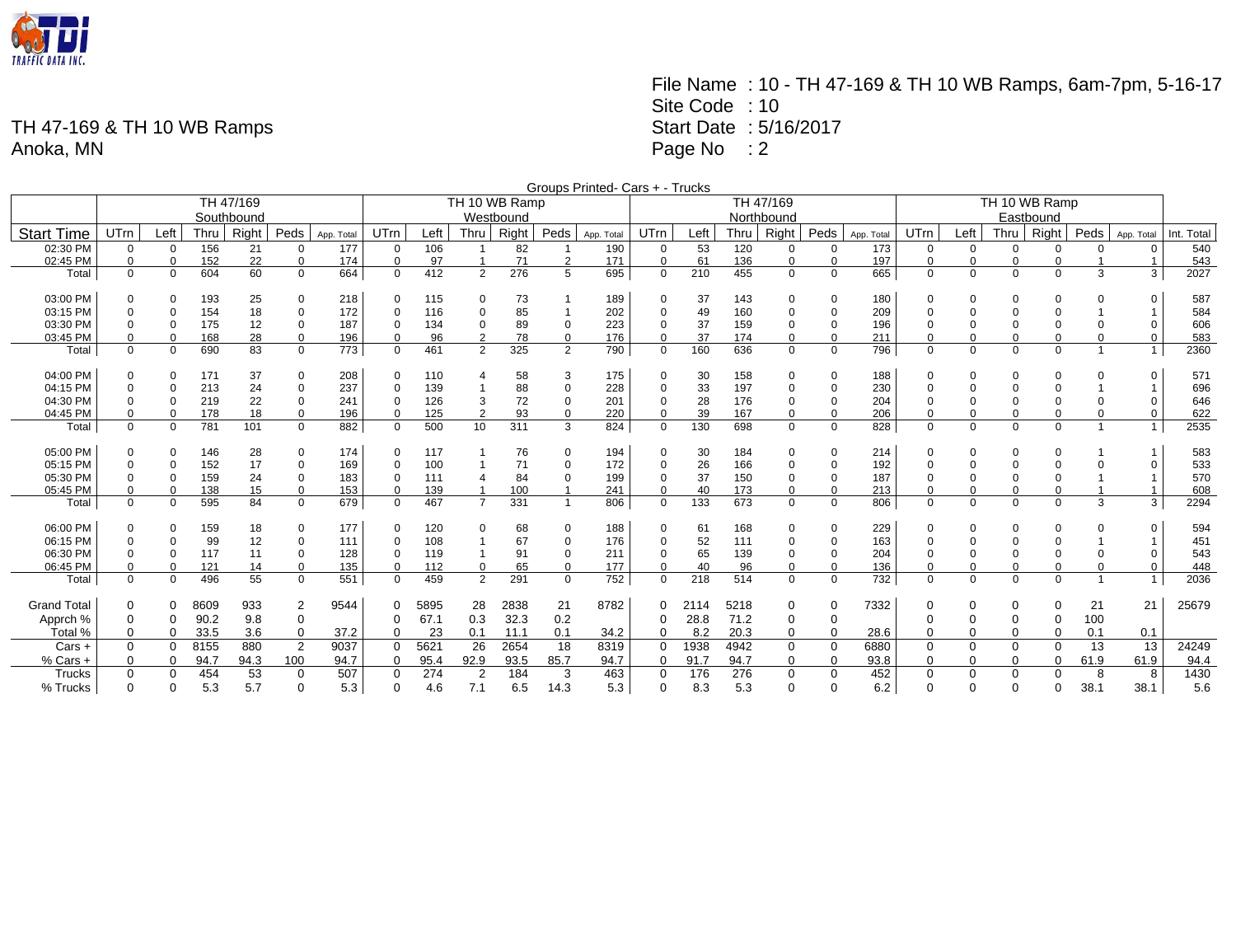

File Name : 10 - TH 47-169 & TH 10 WB Ramps, 6am-7pm, 5-16-17 Site Code : 10 Start Date : 5/16/2017 Page No : 2

|                    |             |              |      |           |                |            |             |           |                |               |                         | Groups Printed- Cars + - Trucks |                |      |      |             |             |            |               |             |             |             |                |                |            |  |
|--------------------|-------------|--------------|------|-----------|----------------|------------|-------------|-----------|----------------|---------------|-------------------------|---------------------------------|----------------|------|------|-------------|-------------|------------|---------------|-------------|-------------|-------------|----------------|----------------|------------|--|
|                    |             |              |      | TH 47/169 |                |            |             |           |                | TH 10 WB Ramp |                         |                                 |                |      |      | TH 47/169   |             |            | TH 10 WB Ramp |             |             |             |                |                |            |  |
|                    | Southbound  |              |      |           |                |            |             | Westbound |                |               |                         |                                 |                |      |      | Northbound  |             |            | Eastbound     |             |             |             |                |                |            |  |
| <b>Start Time</b>  | UTrn        | Left         | Thru | Right     | Peds           | App. Total | UTrn        | Left      | Thru           | Right         | Peds                    | App. Total                      | UTrn           | Left | Thru | Right       | Peds        | App. Total | <b>UTrn</b>   | Left        | Thru        | Right       | Peds           | App. Total     | Int. Total |  |
| 02:30 PM           | 0           | 0            | 156  | 21        | 0              | 177        | 0           | 106       |                | 82            |                         | 190                             | 0              | 53   | 120  | 0           | 0           | 173        | 0             | 0           | $\mathbf 0$ | 0           | $\Omega$       | 0              | 540        |  |
| 02:45 PM           | 0           | $\mathbf 0$  | 152  | 22        | $\mathbf 0$    | 174        | $\mathbf 0$ | 97        |                | 71            | 2                       | 171                             | $\mathbf 0$    | 61   | 136  | $\mathbf 0$ | $\mathbf 0$ | 197        | $\Omega$      | $\mathbf 0$ | $\mathbf 0$ | $\Omega$    |                | $\overline{1}$ | 543        |  |
| Total              | $\mathbf 0$ | $\mathbf 0$  | 604  | 60        | $\mathbf 0$    | 664        | $\mathbf 0$ | 412       | 2              | 276           | 5                       | 695                             | $\mathbf 0$    | 210  | 455  | $\mathbf 0$ | $\Omega$    | 665        | $\mathbf 0$   | $\mathbf 0$ | $\mathbf 0$ | $\Omega$    | 3              | 3              | 2027       |  |
| 03:00 PM           | $\Omega$    | $\mathbf 0$  | 193  | 25        | 0              | 218        | $\Omega$    | 115       | $\Omega$       | 73            |                         | 189                             | $\Omega$       | 37   | 143  | 0           | $\Omega$    | 180        | $\Omega$      | 0           | -0          |             |                | $\Omega$       | 587        |  |
| 03:15 PM           | $\Omega$    | $\Omega$     | 154  | 18        | $\mathbf 0$    | 172        | $\Omega$    | 116       | $\Omega$       | 85            |                         | 202                             | $\Omega$       | 49   | 160  | $\mathbf 0$ | $\Omega$    | 209        |               | $\Omega$    | $\mathbf 0$ |             |                |                | 584        |  |
| 03:30 PM           | $\Omega$    | $\mathbf 0$  | 175  | 12        | $\mathbf 0$    | 187        | $\Omega$    | 134       | 0              | 89            | $\mathbf 0$             | 223                             | 0              | 37   | 159  | $\mathbf 0$ | $\mathbf 0$ | 196        |               | 0           | $\mathbf 0$ |             |                | $\Omega$       | 606        |  |
| 03:45 PM           | $\Omega$    | $\Omega$     | 168  | 28        | $\mathbf 0$    | 196        | $\Omega$    | 96        | $\overline{2}$ | 78            | $\mathbf 0$             | 176                             | $\Omega$       | 37   | 174  | $\mathbf 0$ | $\mathbf 0$ | 211        | $\Omega$      | $\mathbf 0$ | $\mathbf 0$ |             | $\Omega$       | 0              | 583        |  |
| Total              | $\Omega$    | $\Omega$     | 690  | 83        | $\Omega$       | 773        | $\Omega$    | 461       | 2              | 325           | $\overline{2}$          | 790                             | $\Omega$       | 160  | 636  | $\mathbf 0$ | $\Omega$    | 796        | $\Omega$      | $\Omega$    | $\mathbf 0$ | $\Omega$    | $\overline{1}$ | $\mathbf{1}$   | 2360       |  |
| 04:00 PM           | 0           | 0            | 171  | 37        | 0              | 208        | $\mathbf 0$ | 110       | 4              | 58            | 3                       | 175                             | $\Omega$       | 30   | 158  | 0           | $\Omega$    | 188        | $\Omega$      | 0           | -0          | $\Omega$    | 0              | $\Omega$       | 571        |  |
| 04:15 PM           | $\Omega$    | $\Omega$     | 213  | 24        | $\mathbf 0$    | 237        | $\Omega$    | 139       |                | 88            | 0                       | 228                             | $\Omega$       | 33   | 197  | $\mathbf 0$ | $\Omega$    | 230        |               | 0           | $\mathbf 0$ |             |                |                | 696        |  |
| 04:30 PM           | $\Omega$    | $\Omega$     | 219  | 22        | $\mathbf 0$    | 241        | $\Omega$    | 126       | 3              | 72            | $\Omega$                | 201                             | $\mathbf 0$    | 28   | 176  | $\mathbf 0$ | $\mathbf 0$ | 204        | $\Omega$      | $\mathbf 0$ | $\mathbf 0$ |             | $\Omega$       | $\Omega$       | 646        |  |
| 04:45 PM           | $\Omega$    | $\mathbf 0$  | 178  | 18        | $\mathbf 0$    | 196        | $\Omega$    | 125       | $\overline{2}$ | 93            | $\Omega$                | 220                             | 0              | 39   | 167  | 0           | $\Omega$    | 206        | $\Omega$      | $\Omega$    | $\mathbf 0$ | $\mathbf 0$ | 0              | $\Omega$       | 622        |  |
| Total              | $\mathbf 0$ | $\mathbf 0$  | 781  | 101       | $\mathbf 0$    | 882        | $\mathbf 0$ | 500       | 10             | 311           | 3                       | 824                             | $\mathbf 0$    | 130  | 698  | $\mathbf 0$ | $\mathbf 0$ | 828        | $\mathbf 0$   | 0           | $\mathbf 0$ | $\mathbf 0$ | $\overline{1}$ | $\mathbf{1}$   | 2535       |  |
| 05:00 PM           | $\Omega$    | $\Omega$     | 146  | 28        | $\mathbf 0$    | 174        | $\Omega$    | 117       |                | 76            | $\Omega$                | 194                             | $\Omega$       | 30   | 184  | $\Omega$    | $\Omega$    | 214        | $\Omega$      | $\Omega$    | $\mathbf 0$ | $\Omega$    |                |                | 583        |  |
| 05:15 PM           | $\Omega$    | $\mathbf 0$  | 152  | 17        | $\mathbf 0$    | 169        | $\Omega$    | 100       |                | 71            | $\Omega$                | 172                             | $\Omega$       | 26   | 166  | $\mathbf 0$ | $\Omega$    | 192        |               | $\mathbf 0$ | $\mathbf 0$ |             |                | $\Omega$       | 533        |  |
| 05:30 PM           | $\Omega$    | $\mathbf 0$  | 159  | 24        | $\mathbf 0$    | 183        | $\Omega$    | 111       |                | 84            | $\Omega$                | 199                             | $\mathbf 0$    | 37   | 150  | $\mathbf 0$ | $\Omega$    | 187        | $\Omega$      | $\mathbf 0$ | $\mathbf 0$ | $\Omega$    |                |                | 570        |  |
| 05:45 PM           | $\Omega$    | $\mathbf 0$  | 138  | 15        | 0              | 153        | $\Omega$    | 139       |                | 100           | -1                      | 241                             | 0              | 40   | 173  | $\mathbf 0$ | $\mathbf 0$ | 213        | $\mathbf 0$   | $\Omega$    | $\mathbf 0$ | $\mathbf 0$ |                | $\mathbf 1$    | 608        |  |
| Total              | $\Omega$    | $\mathbf 0$  | 595  | 84        | $\mathbf 0$    | 679        | $\Omega$    | 467       | $\overline{7}$ | 331           | $\overline{\mathbf{1}}$ | 806                             | $\Omega$       | 133  | 673  | $\Omega$    | $\Omega$    | 806        | $\Omega$      | $\Omega$    | $\Omega$    | $\Omega$    | 3              | 3              | 2294       |  |
| 06:00 PM           | 0           | 0            | 159  | 18        | 0              | 177        | $\mathbf 0$ | 120       | $\mathbf 0$    | 68            | 0                       | 188                             | $\Omega$       | 61   | 168  | $\mathbf 0$ | $\mathbf 0$ | 229        | $\Omega$      | 0           | $\mathbf 0$ | $\Omega$    | 0              | $\Omega$       | 594        |  |
| 06:15 PM           | 0           | $\mathbf 0$  | 99   | 12        | $\mathbf 0$    | 111        | $\Omega$    | 108       |                | 67            | $\mathbf 0$             | 176                             | 0              | 52   | 111  | $\mathbf 0$ | $\mathbf 0$ | 163        | $\Omega$      | 0           | 0           |             |                | -1             | 451        |  |
| 06:30 PM           | 0           | $\mathbf 0$  | 117  | 11        | 0              | 128        | $\Omega$    | 119       |                | 91            | $\mathbf 0$             | 211                             | 0              | 65   | 139  | 0           | $\mathbf 0$ | 204        |               | 0           | 0           |             |                | $\mathbf 0$    | 543        |  |
| 06:45 PM           | $\Omega$    | $\mathbf 0$  | 121  | 14        | $\mathbf 0$    | 135        | $\mathbf 0$ | 112       | 0              | 65            | 0                       | 177                             | $\mathbf 0$    | 40   | 96   | $\mathbf 0$ | $\mathbf 0$ | 136        | $\mathbf 0$   | $\mathbf 0$ | $\mathbf 0$ | 0           | $\Omega$       | $\mathbf 0$    | 448        |  |
| Total              | $\mathbf 0$ | $\mathbf{0}$ | 496  | 55        | $\mathbf 0$    | 551        | $\mathbf 0$ | 459       | 2              | 291           | $\mathbf 0$             | 752                             | $\Omega$       | 218  | 514  | $\mathbf 0$ | $\Omega$    | 732        | $\mathbf 0$   | 0           | $\mathbf 0$ | $\mathbf 0$ | -1             | 1 <sub>1</sub> | 2036       |  |
| <b>Grand Total</b> | 0           | 0            | 8609 | 933       | $\overline{2}$ | 9544       | $\mathbf 0$ | 5895      | 28             | 2838          | 21                      | 8782                            |                | 2114 | 5218 | 0           | 0           | 7332       | $\mathbf 0$   | 0           | 0           | $\Omega$    | 21             | 21             | 25679      |  |
| Apprch %           | 0           | 0            | 90.2 | 9.8       | $\mathbf 0$    |            | $\Omega$    | 67.1      | 0.3            | 32.3          | 0.2                     |                                 | $\Omega$       | 28.8 | 71.2 | $\mathbf 0$ | $\mathbf 0$ |            |               | 0           | $\mathbf 0$ | 0           | 100            |                |            |  |
| Total %            | 0           | $\mathbf 0$  | 33.5 | 3.6       | $\mathbf 0$    | 37.2       | $\Omega$    | 23        | 0.1            | 11.1          | 0.1                     | 34.2                            | $\Omega$       | 8.2  | 20.3 | 0           | $\Omega$    | 28.6       |               | 0           | $\mathbf 0$ | $\Omega$    | 0.1            | 0.1            |            |  |
| Cars +             | 0           | $\mathbf{0}$ | 8155 | 880       | $\overline{2}$ | 9037       | $\mathbf 0$ | 5621      | 26             | 2654          | 18                      | 8319                            | $\overline{0}$ | 1938 | 4942 | $\mathbf 0$ | 0           | 6880       | $\mathbf 0$   | 0           | $\mathbf 0$ | $\mathbf 0$ | 13             | 13             | 24249      |  |
| % Cars +           | 0           | 0            | 94.7 | 94.3      | 100            | 94.7       | $\mathbf 0$ | 95.4      | 92.9           | 93.5          | 85.7                    | 94.7                            | $\mathbf 0$    | 91.7 | 94.7 | $\mathbf 0$ | 0           | 93.8       | $\Omega$      | 0           | 0           | $\Omega$    | 61.9           | 61.9           | 94.4       |  |
| Trucks             | 0           | 0            | 454  | 53        | $\mathbf 0$    | 507        | $\Omega$    | 274       | $\overline{2}$ | 184           | 3                       | 463                             | $\overline{0}$ | 176  | 276  | $\mathbf 0$ | $\mathbf 0$ | 452        | $\Omega$      | 0           | $\mathbf 0$ | 0           | 8              | 8              | 1430       |  |
| % Trucks           | $\Omega$    | $\Omega$     | 5.3  | 5.7       | $\Omega$       | 5.3        | $\Omega$    | 4.6       | 7.1            | 6.5           | 14.3                    | 5.3                             | $\Omega$       | 8.3  | 5.3  | $\Omega$    | $\Omega$    | 6.2        | $\Omega$      | $\Omega$    | $\Omega$    | $\Omega$    | 38.1           | 38.1           | 5.6        |  |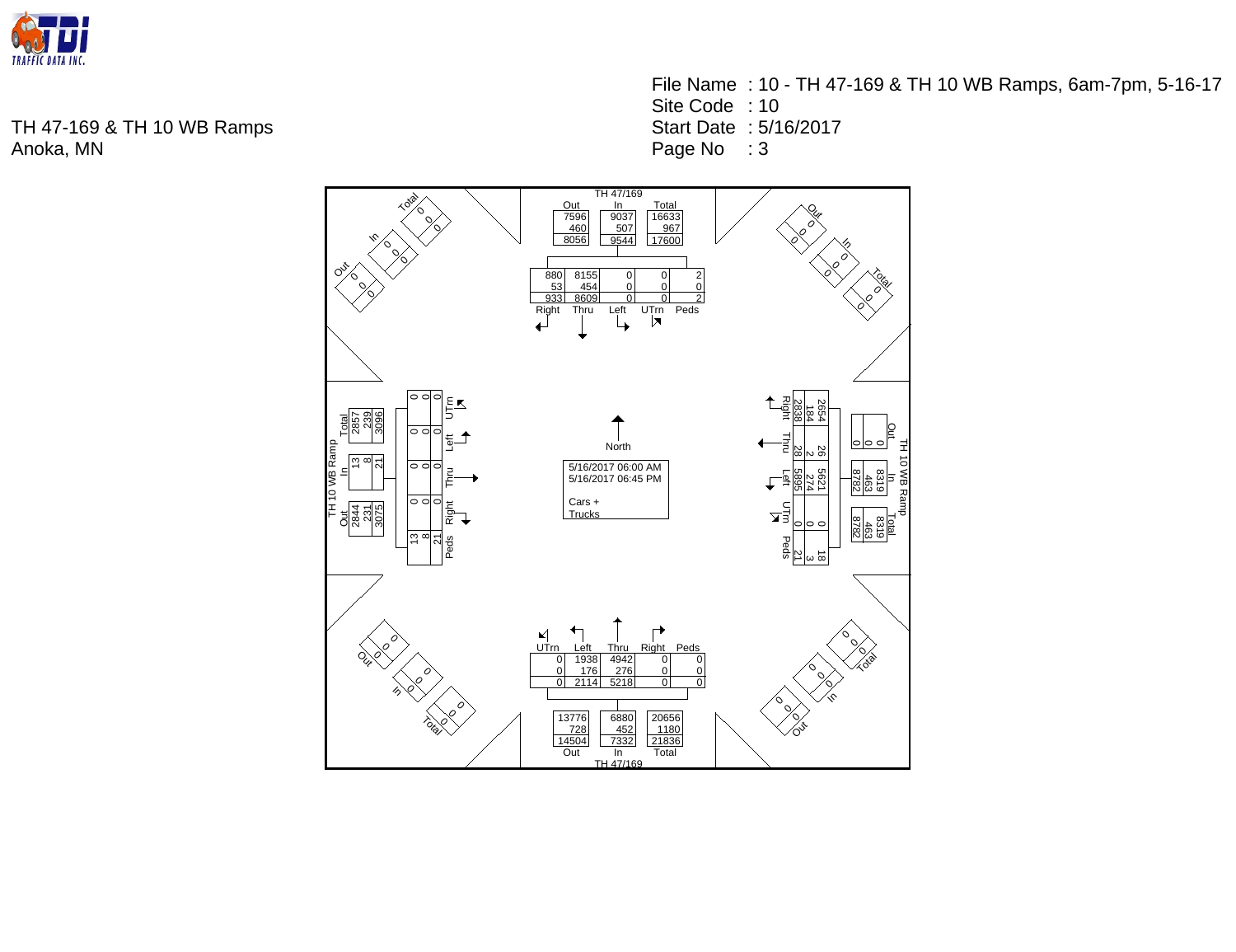

File Name : 10 - TH 47-169 & TH 10 WB Ramps, 6am-7pm, 5-16-17 Site Code : 10 Start Date : 5/16/2017 Page No : 3